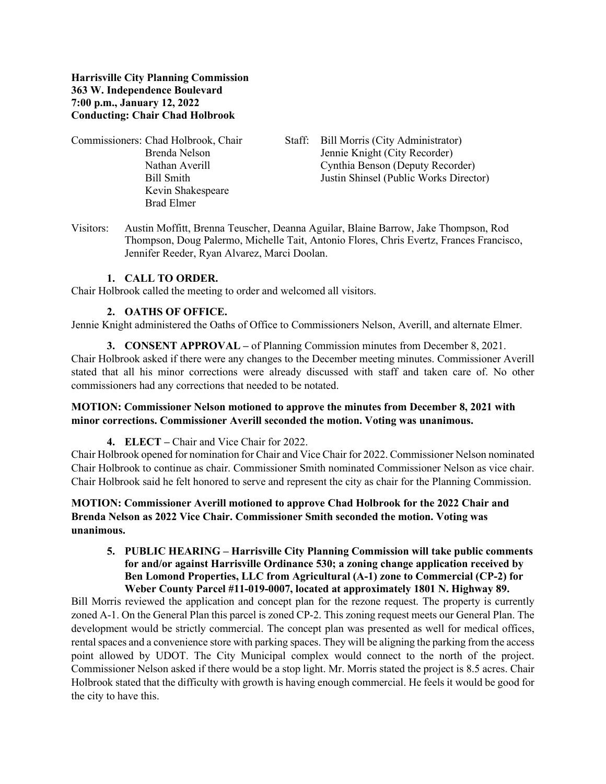**Harrisville City Planning Commission 363 W. Independence Boulevard 7:00 p.m., January 12, 2022 Conducting: Chair Chad Holbrook**

- Kevin Shakespeare Brad Elmer
- Commissioners: Chad Holbrook, Chair Staff: Bill Morris (City Administrator) Brenda Nelson Jennie Knight (City Recorder) Nathan Averill Cynthia Benson (Deputy Recorder) Bill Smith Justin Shinsel (Public Works Director)
- Visitors: Austin Moffitt, Brenna Teuscher, Deanna Aguilar, Blaine Barrow, Jake Thompson, Rod Thompson, Doug Palermo, Michelle Tait, Antonio Flores, Chris Evertz, Frances Francisco, Jennifer Reeder, Ryan Alvarez, Marci Doolan.

### **1. CALL TO ORDER.**

Chair Holbrook called the meeting to order and welcomed all visitors.

### **2. OATHS OF OFFICE.**

Jennie Knight administered the Oaths of Office to Commissioners Nelson, Averill, and alternate Elmer.

**3. CONSENT APPROVAL –** of Planning Commission minutes from December 8, 2021. Chair Holbrook asked if there were any changes to the December meeting minutes. Commissioner Averill stated that all his minor corrections were already discussed with staff and taken care of. No other commissioners had any corrections that needed to be notated.

### **MOTION: Commissioner Nelson motioned to approve the minutes from December 8, 2021 with minor corrections. Commissioner Averill seconded the motion. Voting was unanimous.**

**4. ELECT –** Chair and Vice Chair for 2022.

Chair Holbrook opened for nomination for Chair and Vice Chair for 2022. Commissioner Nelson nominated Chair Holbrook to continue as chair. Commissioner Smith nominated Commissioner Nelson as vice chair. Chair Holbrook said he felt honored to serve and represent the city as chair for the Planning Commission.

**MOTION: Commissioner Averill motioned to approve Chad Holbrook for the 2022 Chair and Brenda Nelson as 2022 Vice Chair. Commissioner Smith seconded the motion. Voting was unanimous.**

**5. PUBLIC HEARING – Harrisville City Planning Commission will take public comments for and/or against Harrisville Ordinance 530; a zoning change application received by Ben Lomond Properties, LLC from Agricultural (A-1) zone to Commercial (CP-2) for Weber County Parcel #11-019-0007, located at approximately 1801 N. Highway 89.**

Bill Morris reviewed the application and concept plan for the rezone request. The property is currently zoned A-1. On the General Plan this parcel is zoned CP-2. This zoning request meets our General Plan. The development would be strictly commercial. The concept plan was presented as well for medical offices, rental spaces and a convenience store with parking spaces. They will be aligning the parking from the access point allowed by UDOT. The City Municipal complex would connect to the north of the project. Commissioner Nelson asked if there would be a stop light. Mr. Morris stated the project is 8.5 acres. Chair Holbrook stated that the difficulty with growth is having enough commercial. He feels it would be good for the city to have this.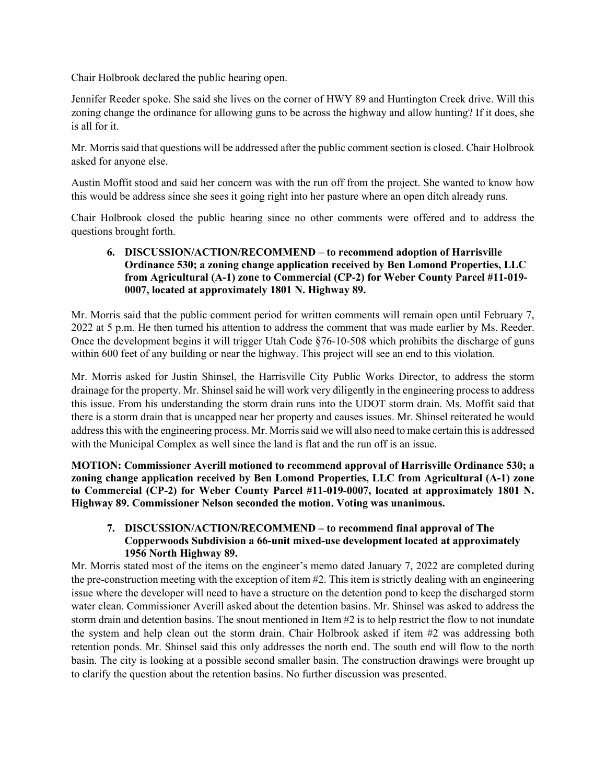Chair Holbrook declared the public hearing open.

Jennifer Reeder spoke. She said she lives on the corner of HWY 89 and Huntington Creek drive. Will this zoning change the ordinance for allowing guns to be across the highway and allow hunting? If it does, she is all for it.

Mr. Morris said that questions will be addressed after the public comment section is closed. Chair Holbrook asked for anyone else.

Austin Moffit stood and said her concern was with the run off from the project. She wanted to know how this would be address since she sees it going right into her pasture where an open ditch already runs.

Chair Holbrook closed the public hearing since no other comments were offered and to address the questions brought forth.

### **6. DISCUSSION/ACTION/RECOMMEND** – **to recommend adoption of Harrisville Ordinance 530; a zoning change application received by Ben Lomond Properties, LLC from Agricultural (A-1) zone to Commercial (CP-2) for Weber County Parcel #11-019- 0007, located at approximately 1801 N. Highway 89.**

Mr. Morris said that the public comment period for written comments will remain open until February 7, 2022 at 5 p.m. He then turned his attention to address the comment that was made earlier by Ms. Reeder. Once the development begins it will trigger Utah Code §76-10-508 which prohibits the discharge of guns within 600 feet of any building or near the highway. This project will see an end to this violation.

Mr. Morris asked for Justin Shinsel, the Harrisville City Public Works Director, to address the storm drainage for the property. Mr. Shinsel said he will work very diligently in the engineering process to address this issue. From his understanding the storm drain runs into the UDOT storm drain. Ms. Moffit said that there is a storm drain that is uncapped near her property and causes issues. Mr. Shinsel reiterated he would address this with the engineering process. Mr. Morris said we will also need to make certain this is addressed with the Municipal Complex as well since the land is flat and the run off is an issue.

**MOTION: Commissioner Averill motioned to recommend approval of Harrisville Ordinance 530; a zoning change application received by Ben Lomond Properties, LLC from Agricultural (A-1) zone to Commercial (CP-2) for Weber County Parcel #11-019-0007, located at approximately 1801 N. Highway 89. Commissioner Nelson seconded the motion. Voting was unanimous.**

## **7. DISCUSSION/ACTION/RECOMMEND – to recommend final approval of The Copperwoods Subdivision a 66-unit mixed-use development located at approximately 1956 North Highway 89.**

Mr. Morris stated most of the items on the engineer's memo dated January 7, 2022 are completed during the pre-construction meeting with the exception of item #2. This item is strictly dealing with an engineering issue where the developer will need to have a structure on the detention pond to keep the discharged storm water clean. Commissioner Averill asked about the detention basins. Mr. Shinsel was asked to address the storm drain and detention basins. The snout mentioned in Item #2 is to help restrict the flow to not inundate the system and help clean out the storm drain. Chair Holbrook asked if item #2 was addressing both retention ponds. Mr. Shinsel said this only addresses the north end. The south end will flow to the north basin. The city is looking at a possible second smaller basin. The construction drawings were brought up to clarify the question about the retention basins. No further discussion was presented.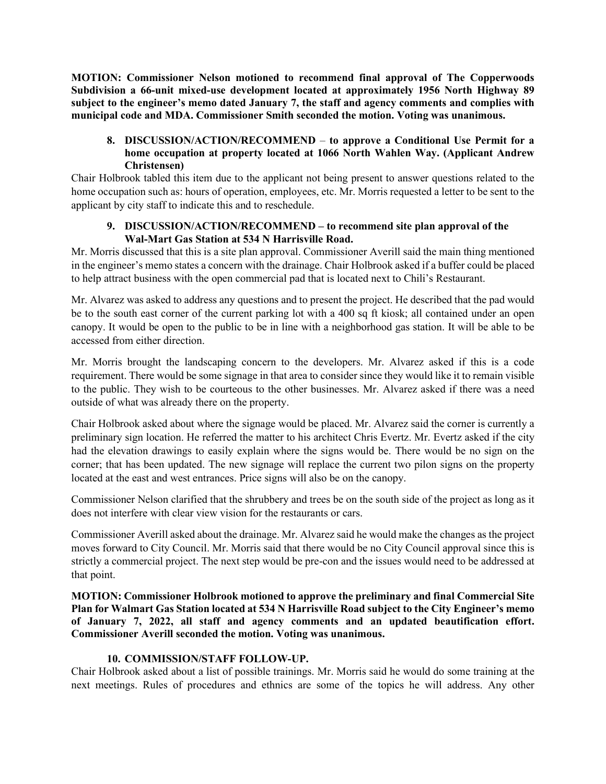**MOTION: Commissioner Nelson motioned to recommend final approval of The Copperwoods Subdivision a 66-unit mixed-use development located at approximately 1956 North Highway 89 subject to the engineer's memo dated January 7, the staff and agency comments and complies with municipal code and MDA. Commissioner Smith seconded the motion. Voting was unanimous.**

# **8. DISCUSSION/ACTION/RECOMMEND** – **to approve a Conditional Use Permit for a home occupation at property located at 1066 North Wahlen Way. (Applicant Andrew Christensen)**

Chair Holbrook tabled this item due to the applicant not being present to answer questions related to the home occupation such as: hours of operation, employees, etc. Mr. Morris requested a letter to be sent to the applicant by city staff to indicate this and to reschedule.

## **9. DISCUSSION/ACTION/RECOMMEND – to recommend site plan approval of the Wal-Mart Gas Station at 534 N Harrisville Road.**

Mr. Morris discussed that this is a site plan approval. Commissioner Averill said the main thing mentioned in the engineer's memo states a concern with the drainage. Chair Holbrook asked if a buffer could be placed to help attract business with the open commercial pad that is located next to Chili's Restaurant.

Mr. Alvarez was asked to address any questions and to present the project. He described that the pad would be to the south east corner of the current parking lot with a 400 sq ft kiosk; all contained under an open canopy. It would be open to the public to be in line with a neighborhood gas station. It will be able to be accessed from either direction.

Mr. Morris brought the landscaping concern to the developers. Mr. Alvarez asked if this is a code requirement. There would be some signage in that area to consider since they would like it to remain visible to the public. They wish to be courteous to the other businesses. Mr. Alvarez asked if there was a need outside of what was already there on the property.

Chair Holbrook asked about where the signage would be placed. Mr. Alvarez said the corner is currently a preliminary sign location. He referred the matter to his architect Chris Evertz. Mr. Evertz asked if the city had the elevation drawings to easily explain where the signs would be. There would be no sign on the corner; that has been updated. The new signage will replace the current two pilon signs on the property located at the east and west entrances. Price signs will also be on the canopy.

Commissioner Nelson clarified that the shrubbery and trees be on the south side of the project as long as it does not interfere with clear view vision for the restaurants or cars.

Commissioner Averill asked about the drainage. Mr. Alvarez said he would make the changes as the project moves forward to City Council. Mr. Morris said that there would be no City Council approval since this is strictly a commercial project. The next step would be pre-con and the issues would need to be addressed at that point.

**MOTION: Commissioner Holbrook motioned to approve the preliminary and final Commercial Site Plan for Walmart Gas Station located at 534 N Harrisville Road subject to the City Engineer's memo of January 7, 2022, all staff and agency comments and an updated beautification effort. Commissioner Averill seconded the motion. Voting was unanimous.**

# **10. COMMISSION/STAFF FOLLOW-UP.**

Chair Holbrook asked about a list of possible trainings. Mr. Morris said he would do some training at the next meetings. Rules of procedures and ethnics are some of the topics he will address. Any other